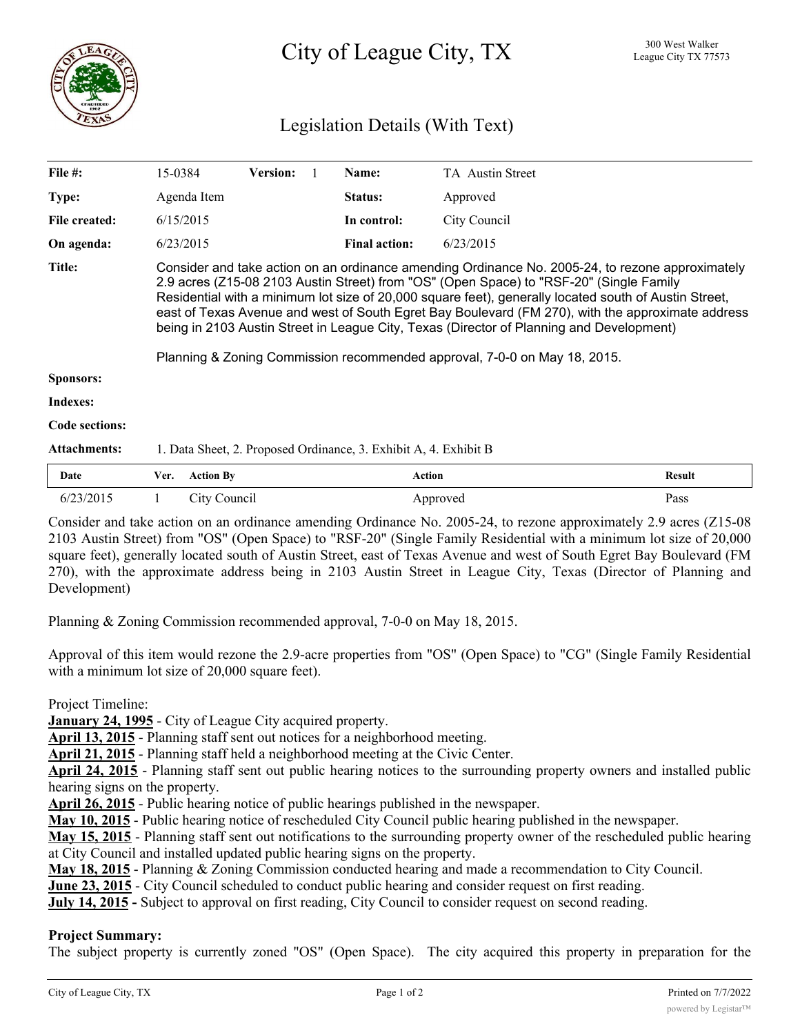

# Legislation Details (With Text)

| File $#$ :            | 15-0384                                                                                                                                                                                                                                                                                                                                                                                                                                                                                                                                                                            | <b>Version:</b> |  | Name:                | <b>TA</b> Austin Street |        |
|-----------------------|------------------------------------------------------------------------------------------------------------------------------------------------------------------------------------------------------------------------------------------------------------------------------------------------------------------------------------------------------------------------------------------------------------------------------------------------------------------------------------------------------------------------------------------------------------------------------------|-----------------|--|----------------------|-------------------------|--------|
| Type:                 | Agenda Item                                                                                                                                                                                                                                                                                                                                                                                                                                                                                                                                                                        |                 |  | Status:              | Approved                |        |
| File created:         | 6/15/2015                                                                                                                                                                                                                                                                                                                                                                                                                                                                                                                                                                          |                 |  | In control:          | City Council            |        |
| On agenda:            | 6/23/2015                                                                                                                                                                                                                                                                                                                                                                                                                                                                                                                                                                          |                 |  | <b>Final action:</b> | 6/23/2015               |        |
| Title:                | Consider and take action on an ordinance amending Ordinance No. 2005-24, to rezone approximately<br>2.9 acres (Z15-08 2103 Austin Street) from "OS" (Open Space) to "RSF-20" (Single Family<br>Residential with a minimum lot size of 20,000 square feet), generally located south of Austin Street,<br>east of Texas Avenue and west of South Egret Bay Boulevard (FM 270), with the approximate address<br>being in 2103 Austin Street in League City, Texas (Director of Planning and Development)<br>Planning & Zoning Commission recommended approval, 7-0-0 on May 18, 2015. |                 |  |                      |                         |        |
| <b>Sponsors:</b>      |                                                                                                                                                                                                                                                                                                                                                                                                                                                                                                                                                                                    |                 |  |                      |                         |        |
| <b>Indexes:</b>       |                                                                                                                                                                                                                                                                                                                                                                                                                                                                                                                                                                                    |                 |  |                      |                         |        |
| <b>Code sections:</b> |                                                                                                                                                                                                                                                                                                                                                                                                                                                                                                                                                                                    |                 |  |                      |                         |        |
| <b>Attachments:</b>   | 1. Data Sheet, 2. Proposed Ordinance, 3. Exhibit A, 4. Exhibit B                                                                                                                                                                                                                                                                                                                                                                                                                                                                                                                   |                 |  |                      |                         |        |
| Date                  | <b>Action By</b><br>Ver.                                                                                                                                                                                                                                                                                                                                                                                                                                                                                                                                                           |                 |  |                      | <b>Action</b>           | Result |

Consider and take action on an ordinance amending Ordinance No. 2005-24, to rezone approximately 2.9 acres (Z15-08 2103 Austin Street) from "OS" (Open Space) to "RSF-20" (Single Family Residential with a minimum lot size of 20,000 square feet), generally located south of Austin Street, east of Texas Avenue and west of South Egret Bay Boulevard (FM 270), with the approximate address being in 2103 Austin Street in League City, Texas (Director of Planning and Development)

6/23/2015 1 City Council Approved Pass

Planning & Zoning Commission recommended approval, 7-0-0 on May 18, 2015.

Approval of this item would rezone the 2.9-acre properties from "OS" (Open Space) to "CG" (Single Family Residential with a minimum lot size of 20,000 square feet).

Project Timeline:

**January 24, 1995** - City of League City acquired property.

**April 13, 2015** - Planning staff sent out notices for a neighborhood meeting.

**April 21, 2015** - Planning staff held a neighborhood meeting at the Civic Center.

**April 24, 2015** - Planning staff sent out public hearing notices to the surrounding property owners and installed public hearing signs on the property.

**April 26, 2015** - Public hearing notice of public hearings published in the newspaper.

**May 10, 2015** - Public hearing notice of rescheduled City Council public hearing published in the newspaper.

**May 15, 2015** - Planning staff sent out notifications to the surrounding property owner of the rescheduled public hearing at City Council and installed updated public hearing signs on the property.

**May 18, 2015** - Planning & Zoning Commission conducted hearing and made a recommendation to City Council.

**June 23, 2015** - City Council scheduled to conduct public hearing and consider request on first reading.

**July 14, 2015 -** Subject to approval on first reading, City Council to consider request on second reading.

## **Project Summary:**

The subject property is currently zoned "OS" (Open Space). The city acquired this property in preparation for the